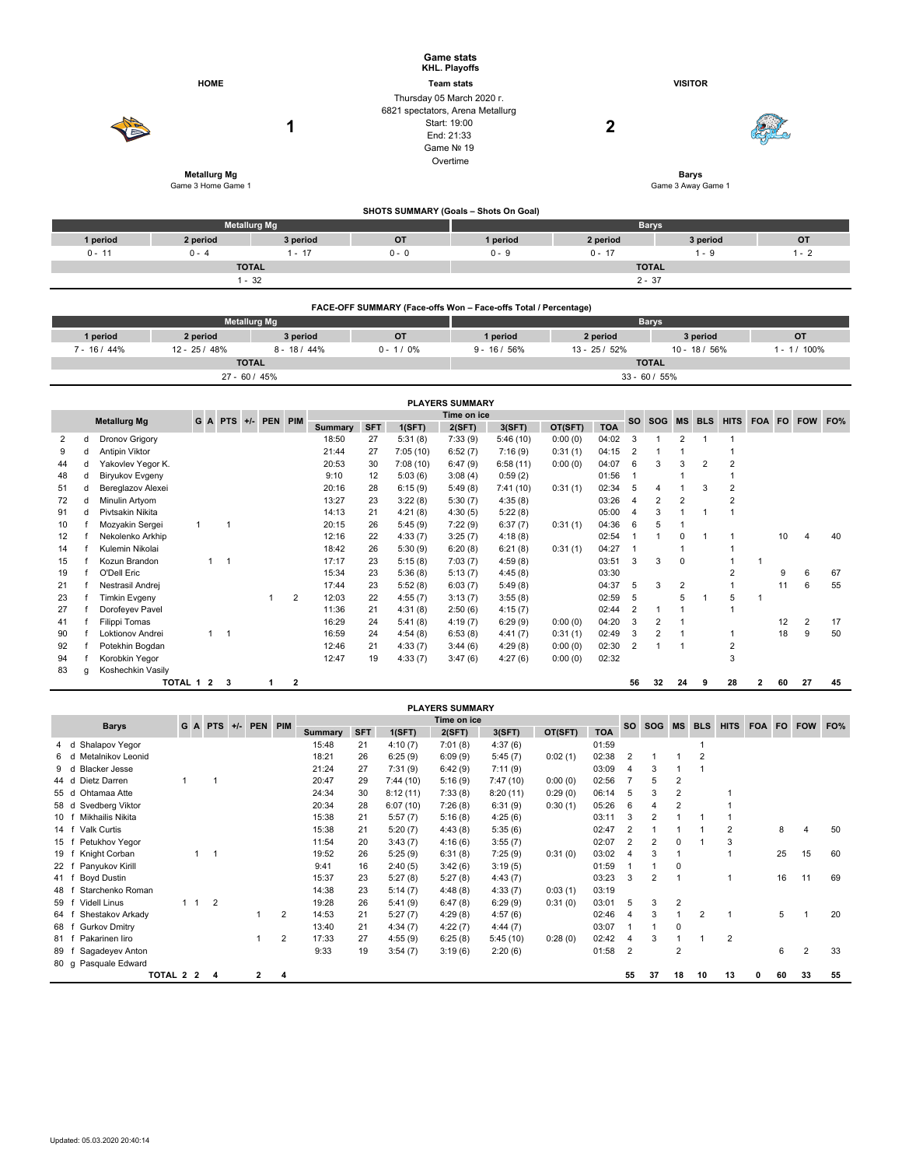|             |                              |                                  |                     |                                 |                     |                |                |                |                              |                    | <b>Game stats</b><br><b>KHL. Playoffs</b> |                                                                 |                |                |                     |                         |                         |                |                              |                |    |                |                |  |  |
|-------------|------------------------------|----------------------------------|---------------------|---------------------------------|---------------------|----------------|----------------|----------------|------------------------------|--------------------|-------------------------------------------|-----------------------------------------------------------------|----------------|----------------|---------------------|-------------------------|-------------------------|----------------|------------------------------|----------------|----|----------------|----------------|--|--|
| <b>HOME</b> |                              |                                  |                     |                                 |                     |                |                |                | <b>Team stats</b>            |                    |                                           |                                                                 | <b>VISITOR</b> |                |                     |                         |                         |                |                              |                |    |                |                |  |  |
|             |                              |                                  |                     |                                 |                     |                |                |                | Thursday 05 March 2020 r.    |                    |                                           |                                                                 |                |                |                     |                         |                         |                |                              |                |    |                |                |  |  |
|             |                              |                                  |                     |                                 |                     |                |                |                |                              |                    | 6821 spectators, Arena Metallurg          |                                                                 |                |                |                     |                         |                         |                |                              |                |    |                |                |  |  |
|             |                              |                                  |                     |                                 |                     |                | 1              |                |                              |                    | Start: 19:00                              |                                                                 |                | $\mathbf 2$    |                     |                         |                         |                |                              |                |    |                |                |  |  |
|             |                              |                                  |                     |                                 |                     |                |                |                |                              |                    | End: 21:33                                |                                                                 |                |                |                     |                         |                         |                |                              |                |    |                |                |  |  |
|             |                              |                                  |                     |                                 |                     |                |                |                |                              |                    | Game Nº 19                                |                                                                 |                |                |                     |                         |                         |                |                              |                |    |                |                |  |  |
|             |                              |                                  |                     |                                 |                     |                |                |                |                              |                    | Overtime                                  |                                                                 |                |                |                     |                         |                         |                |                              |                |    |                |                |  |  |
|             |                              |                                  | <b>Metallurg Mg</b> |                                 |                     |                |                |                |                              |                    |                                           |                                                                 |                |                |                     |                         | <b>Barvs</b>            |                |                              |                |    |                |                |  |  |
|             |                              |                                  | Game 3 Home Game 1  |                                 |                     |                |                |                |                              |                    |                                           |                                                                 |                |                |                     |                         | Game 3 Away Game 1      |                |                              |                |    |                |                |  |  |
|             |                              |                                  |                     |                                 |                     |                |                |                |                              |                    |                                           | SHOTS SUMMARY (Goals - Shots On Goal)                           |                |                |                     |                         |                         |                |                              |                |    |                |                |  |  |
|             |                              |                                  |                     |                                 | <b>Metallurg Mg</b> |                |                |                |                              |                    |                                           |                                                                 |                |                |                     | <b>Barys</b>            |                         |                |                              |                |    |                |                |  |  |
|             |                              | 1 period                         | 2 period            |                                 |                     |                | 3 period       |                |                              | <b>OT</b>          |                                           | 1 period                                                        |                | 2 period       |                     |                         |                         | 3 period       |                              |                |    | OT             |                |  |  |
|             |                              | $0 - 11$                         | $0 - 4$             |                                 |                     |                | $1 - 17$       |                |                              | $0 - 0$            |                                           | $0 - 9$                                                         |                | $0 - 17$       |                     |                         |                         | $1 - 9$        |                              |                |    | $1 - 2$        |                |  |  |
|             |                              |                                  |                     |                                 | <b>TOTAL</b>        |                |                |                |                              |                    |                                           |                                                                 |                |                |                     | <b>TOTAL</b>            |                         |                |                              |                |    |                |                |  |  |
|             |                              |                                  |                     |                                 | $1 - 32$            |                |                |                |                              |                    |                                           |                                                                 |                |                |                     | $2 - 37$                |                         |                |                              |                |    |                |                |  |  |
|             |                              |                                  |                     |                                 |                     |                |                |                |                              |                    |                                           |                                                                 |                |                |                     |                         |                         |                |                              |                |    |                |                |  |  |
|             |                              |                                  |                     |                                 |                     |                |                |                |                              |                    |                                           | FACE-OFF SUMMARY (Face-offs Won - Face-offs Total / Percentage) |                |                |                     |                         |                         |                |                              |                |    |                |                |  |  |
|             |                              |                                  |                     |                                 | <b>Metallurg Mg</b> |                |                |                |                              |                    |                                           |                                                                 |                |                |                     | <b>Barys</b>            |                         |                |                              |                |    |                |                |  |  |
|             |                              | 1 period                         | 2 period            |                                 |                     | 3 period       |                |                | OT                           |                    |                                           | 1 period                                                        |                | 2 period       |                     |                         |                         | 3 period       |                              | OT             |    |                |                |  |  |
|             |                              | $7 - 16/44%$                     | 12 - 25 / 48%       |                                 |                     |                | $8 - 18 / 44%$ |                | $0 - 1/0%$<br>$9 - 16 / 56%$ |                    |                                           |                                                                 |                | 13 - 25 / 52%  |                     |                         | 10 - 18 / 56%           |                |                              | $1 - 1/100\%$  |    |                |                |  |  |
|             |                              |                                  |                     |                                 | <b>TOTAL</b>        |                |                |                |                              |                    |                                           | <b>TOTAL</b>                                                    |                |                |                     |                         |                         |                |                              |                |    |                |                |  |  |
|             |                              |                                  |                     |                                 | 27 - 60 / 45%       |                |                |                |                              |                    |                                           |                                                                 |                |                |                     | $33 - 60 / 55%$         |                         |                |                              |                |    |                |                |  |  |
|             |                              |                                  |                     |                                 |                     |                |                |                |                              |                    | <b>PLAYERS SUMMARY</b>                    |                                                                 |                |                |                     |                         |                         |                |                              |                |    |                |                |  |  |
|             |                              |                                  |                     |                                 |                     |                |                |                |                              |                    |                                           | Time on ice                                                     |                |                |                     |                         |                         |                |                              |                |    |                |                |  |  |
|             |                              | <b>Metallurg Mg</b>              | G A                 | <b>PTS</b>                      |                     | +/- PEN PIM    |                | <b>Summary</b> | <b>SFT</b>                   | 1(SFT)             | 2(SFT)                                    | 3(SFT)                                                          | OT(SFT)        | <b>TOA</b>     | <b>SO</b>           | SOG                     | MS                      | <b>BLS</b>     | <b>HITS</b>                  |                |    |                | FOA FO FOW FO% |  |  |
| 2           | d                            | Dronov Grigory                   |                     |                                 |                     |                |                | 18:50          | 27                           | 5:31(8)            | 7:33(9)                                   | 5:46(10)                                                        | 0:00(0)        | 04:02          | 3                   | $\mathbf{1}$            | 2                       | $\mathbf 1$    | $\mathbf{1}$                 |                |    |                |                |  |  |
| 9           | d                            | Antipin Viktor                   |                     |                                 |                     |                |                | 21:44          | 27                           | 7:05(10)           | 6:52(7)                                   | 7:16(9)                                                         | 0:31(1)        | 04:15          | $\overline{2}$      | $\mathbf{1}$            | $\overline{1}$          |                | $\mathbf{1}$                 |                |    |                |                |  |  |
| 44          | d                            | Yakovlev Yegor K.                |                     |                                 |                     |                |                | 20:53          | 30                           | 7:08(10)           | 6:47(9)                                   | 6:58(11)                                                        | 0:00(0)        | 04:07          | 6                   | 3                       | 3                       | $\overline{2}$ | $\overline{2}$               |                |    |                |                |  |  |
| 48          | d                            | Biryukov Evgeny                  |                     |                                 |                     |                |                | 9:10           | 12                           | 5:03(6)            | 3:08(4)                                   | 0:59(2)                                                         |                | 01:56          | $\overline{1}$      |                         | 1                       |                | $\mathbf{1}$                 |                |    |                |                |  |  |
| 51          | d                            | Bereglazov Alexei                |                     |                                 |                     |                |                | 20:16          | 28                           | 6:15(9)            | 5:49(8)                                   | 7:41 (10)                                                       | 0:31(1)        | 02:34          | 5                   | 4                       | 1                       | 3              | $\overline{2}$               |                |    |                |                |  |  |
| 72          | d                            | Minulin Artyom                   |                     |                                 |                     |                |                | 13:27          | 23                           | 3:22(8)            | 5:30(7)                                   | 4:35(8)                                                         |                | 03:26          | $\overline{4}$      | $\overline{2}$          | $\overline{2}$          |                | $\overline{2}$               |                |    |                |                |  |  |
| 91          | d                            | Pivtsakin Nikita                 |                     |                                 |                     |                |                | 14:13          | 21                           | 4:21(8)            | 4:30(5)                                   | 5:22(8)                                                         |                | 05:00          | $\overline{4}$      | 3                       | $\mathbf{1}$            | $\mathbf{1}$   | $\mathbf{1}$                 |                |    |                |                |  |  |
| 10          | $\mathsf{f}$                 | Mozyakin Sergei                  | $\mathbf{1}$        | $\mathbf{1}$                    |                     |                |                | 20:15          | 26                           | 5:45(9)            | 7:22(9)                                   | 6:37(7)                                                         | 0:31(1)        | 04:36          | 6                   | 5                       | $\overline{1}$          |                |                              |                |    |                |                |  |  |
| 12          | $\mathsf{f}$<br>$\mathbf{f}$ | Nekolenko Arkhip                 |                     |                                 |                     |                |                | 12:16<br>18:42 | 22<br>26                     | 4:33(7)            | 3:25(7)                                   | 4:18(8)                                                         |                | 02:54          | $\overline{1}$      | $\mathbf{1}$            | 0<br>1                  | $\mathbf{1}$   | $\mathbf{1}$<br>$\mathbf{1}$ |                | 10 | $\overline{4}$ | 40             |  |  |
| 14<br>15    | $^\mathsf{f}$                | Kulemin Nikolai<br>Kozun Brandon |                     | $\overline{1}$<br>$\mathbf{1}$  |                     |                |                | 17:17          | 23                           | 5:30(9)<br>5:15(8) | 6:20(8)<br>7:03(7)                        | 6:21(8)<br>4:59(8)                                              | 0:31(1)        | 04:27<br>03:51 | $\overline{1}$<br>3 | 3                       | $\pmb{0}$               |                | $\mathbf{1}$                 | $\overline{1}$ |    |                |                |  |  |
| 19          | f                            | O'Dell Eric                      |                     |                                 |                     |                |                | 15:34          | 23                           | 5:36(8)            | 5:13(7)                                   | 4:45(8)                                                         |                | 03:30          |                     |                         |                         |                | $\overline{\mathbf{c}}$      |                | 9  | 6              | 67             |  |  |
| 21          | $\mathsf{f}$                 | Nestrasil Andrej                 |                     |                                 |                     |                |                | 17:44          | 23                           | 5:52(8)            | 6:03(7)                                   | 5:49(8)                                                         |                | 04:37          | 5                   | 3                       | $\overline{\mathbf{c}}$ |                | $\mathbf{1}$                 |                | 11 | 6              | 55             |  |  |
| 23          | f                            | <b>Timkin Evgeny</b>             |                     |                                 |                     | $\overline{1}$ | $\overline{2}$ | 12:03          | 22                           | 4:55(7)            | 3:13(7)                                   | 3:55(8)                                                         |                | 02:59          | 5                   |                         | 5                       | $\mathbf{1}$   | 5                            | $\overline{1}$ |    |                |                |  |  |
| 27          | $\mathsf{f}$                 | Dorofeyev Pavel                  |                     |                                 |                     |                |                | 11:36          | 21                           | 4:31(8)            | 2:50(6)                                   | 4:15(7)                                                         |                | 02:44          | $\overline{2}$      | $\overline{1}$          | $\mathbf{1}$            |                | $\mathbf{1}$                 |                |    |                |                |  |  |
| 41          | $\mathsf{f}$                 | Filippi Tomas                    |                     |                                 |                     |                |                | 16:29          | 24                           | 5:41(8)            | 4:19(7)                                   | 6:29(9)                                                         | 0:00(0)        | 04:20          | 3                   | $\overline{\mathbf{c}}$ | $\overline{1}$          |                |                              |                | 12 | $\overline{2}$ | 17             |  |  |
| 90          | $\mathsf{f}$                 | Loktionov Andrei                 |                     | 1<br>$\overline{\phantom{0}}$ 1 |                     |                |                | 16:59          | 24                           | 4:54(8)            | 6:53(8)                                   | 4:41(7)                                                         | 0:31(1)        | 02:49          | 3                   | $\overline{2}$          | $\overline{1}$          |                | $\mathbf{1}$                 |                | 18 | 9              | 50             |  |  |
| 92          | f                            | Potekhin Bogdan                  |                     |                                 |                     |                |                | 12:46          | 21                           | 4:33(7)            | 3:44(6)                                   | 4:29(8)                                                         | 0:00(0)        | 02:30          | $\overline{2}$      | $\mathbf{1}$            | $\overline{1}$          |                | $\overline{2}$               |                |    |                |                |  |  |
| 94          | $\mathsf{f}$                 | Korobkin Yegor                   |                     |                                 |                     |                |                | 12:47          | 19                           | 4:33(7)            | 3:47(6)                                   | 4:27(6)                                                         | 0:00(0)        | 02:32          |                     |                         |                         |                | 3                            |                |    |                |                |  |  |
| 83          | g                            | Koshechkin Vasily                |                     |                                 |                     |                |                |                |                              |                    |                                           |                                                                 |                |                |                     |                         |                         |                |                              |                |    |                |                |  |  |
|             |                              |                                  | TOTAL 1 2           | 3                               |                     | $\mathbf{1}$   | $\overline{2}$ |                |                              |                    |                                           |                                                                 |                |                | 56                  | 32                      | 24                      | 9              | 28                           | $\overline{2}$ | 60 | 27             | 45             |  |  |

| <b>PLAYERS SUMMARY</b> |                      |  |                 |                |  |                |   |                |            |          |         |          |         |            |                |            |                |                |             |            |    |        |     |
|------------------------|----------------------|--|-----------------|----------------|--|----------------|---|----------------|------------|----------|---------|----------|---------|------------|----------------|------------|----------------|----------------|-------------|------------|----|--------|-----|
| <b>Barys</b>           |                      |  | $G$ A PTS $+/-$ |                |  | PEN PIM        |   | Time on ice    |            |          |         |          |         |            | <b>SO</b>      | <b>SOG</b> | <b>MS</b>      | <b>BLS</b>     | <b>HITS</b> | <b>FOA</b> |    |        | FO% |
|                        |                      |  |                 |                |  |                |   | <b>Summary</b> | <b>SFT</b> | 1(SFT)   | 2(SFT)  | 3(SFT)   | OT(SFT) | <b>TOA</b> |                |            |                |                |             |            |    | FO FOW |     |
| 4 d                    | Shalapov Yegor       |  |                 |                |  |                |   | 15:48          | 21         | 4:10(7)  | 7:01(8) | 4:37(6)  |         | 01:59      |                |            |                |                |             |            |    |        |     |
| 6 d                    | Metalnikov Leonid    |  |                 |                |  |                |   | 18:21          | 26         | 6:25(9)  | 6:09(9) | 5:45(7)  | 0:02(1) | 02:38      | $\overline{2}$ |            |                |                |             |            |    |        |     |
| 9 d                    | <b>Blacker Jesse</b> |  |                 |                |  |                |   | 21:24          | 27         | 7:31(9)  | 6:42(9) | 7:11(9)  |         | 03:09      | 4              | 3          |                |                |             |            |    |        |     |
| 44 d                   | Dietz Darren         |  |                 |                |  |                |   | 20:47          | 29         | 7:44(10) | 5:16(9) | 7:47(10) | 0:00(0) | 02:56      |                | 5          | 2              |                |             |            |    |        |     |
| 55 d                   | Ohtamaa Atte         |  |                 |                |  |                |   | 24:34          | 30         | 8:12(11) | 7:33(8) | 8:20(11) | 0:29(0) | 06:14      | 5              | 3          | 2              |                |             |            |    |        |     |
| 58 d                   | Svedberg Viktor      |  |                 |                |  |                |   | 20:34          | 28         | 6:07(10) | 7:26(8) | 6:31(9)  | 0:30(1) | 05:26      | 6              |            |                |                |             |            |    |        |     |
| 10 f                   | Mikhailis Nikita     |  |                 |                |  |                |   | 15:38          | 21         | 5:57(7)  | 5:16(8) | 4:25(6)  |         | 03:11      | 3              | 2          |                |                |             |            |    |        |     |
| 14 f                   | <b>Valk Curtis</b>   |  |                 |                |  |                |   | 15:38          | 21         | 5:20(7)  | 4:43(8) | 5:35(6)  |         | 02:47      | 2              |            |                |                | 2           |            | 8  | 4      | 50  |
| 15                     | Petukhov Yegor       |  |                 |                |  |                |   | 11:54          | 20         | 3:43(7)  | 4:16(6) | 3:55(7)  |         | 02:07      |                |            | $\Omega$       |                | 3           |            |    |        |     |
| 19                     | Knight Corban        |  |                 |                |  |                |   | 19:52          | 26         | 5:25(9)  | 6:31(8) | 7:25(9)  | 0:31(0) | 03:02      | 4              | 3          |                |                |             |            | 25 | 15     | 60  |
| 22                     | Panyukov Kirill      |  |                 |                |  |                |   | 9:41           | 16         | 2:40(5)  | 3:42(6) | 3:19(5)  |         | 01:59      |                |            | 0              |                |             |            |    |        |     |
| 41 f                   | Boyd Dustin          |  |                 |                |  |                |   | 15:37          | 23         | 5:27(8)  | 5:27(8) | 4:43(7)  |         | 03:23      | 3              | 2          |                |                |             |            | 16 | 11     | 69  |
| 48                     | Starchenko Roman     |  |                 |                |  |                |   | 14:38          | 23         | 5:14(7)  | 4:48(8) | 4:33(7)  | 0:03(1) | 03:19      |                |            |                |                |             |            |    |        |     |
| 59                     | <b>Videll Linus</b>  |  | 1 1             | $\overline{2}$ |  |                |   | 19:28          | 26         | 5:41(9)  | 6:47(8) | 6:29(9)  | 0:31(0) | 03:01      | 5              | 3          | 2              |                |             |            |    |        |     |
| 64                     | Shestakov Arkady     |  |                 |                |  |                | 2 | 14:53          | 21         | 5:27(7)  | 4:29(8) | 4:57(6)  |         | 02:46      | 4              | 3          |                | $\overline{2}$ |             |            | 5  |        | 20  |
| 68                     | Gurkov Dmitry        |  |                 |                |  |                |   | 13:40          | 21         | 4:34(7)  | 4:22(7) | 4:44(7)  |         | 03:07      |                |            | 0              |                |             |            |    |        |     |
| 81 f                   | Pakarinen liro       |  |                 |                |  |                | 2 | 17:33          | 27         | 4:55(9)  | 6:25(8) | 5:45(10) | 0:28(0) | 02:42      | 4              | 3          |                |                | 2           |            |    |        |     |
| 89                     | Sagadeyev Anton      |  |                 |                |  |                |   | 9:33           | 19         | 3:54(7)  | 3:19(6) | 2:20(6)  |         | 01:58      | $\overline{2}$ |            | $\overline{2}$ |                |             |            | 6  | 2      | 33  |
| 80q                    | Pasquale Edward      |  |                 |                |  |                |   |                |            |          |         |          |         |            |                |            |                |                |             |            |    |        |     |
|                        | TOTAL 2 2            |  |                 | 4              |  | $\overline{2}$ | 4 |                |            |          |         |          |         |            | 55             | 37         | 18             | 10             | 13          | 0          | 60 | 33     | 55  |